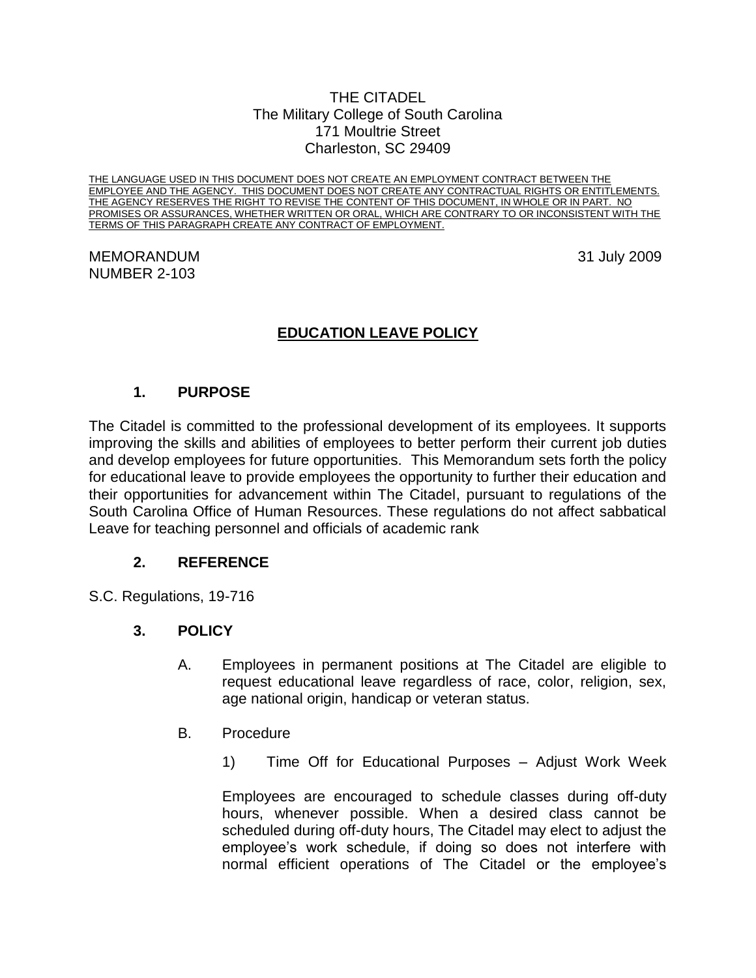#### THE CITADEL The Military College of South Carolina 171 Moultrie Street Charleston, SC 29409

THE LANGUAGE USED IN THIS DOCUMENT DOES NOT CREATE AN EMPLOYMENT CONTRACT BETWEEN THE EMPLOYEE AND THE AGENCY. THIS DOCUMENT DOES NOT CREATE ANY CONTRACTUAL RIGHTS OR ENTITLEMENTS. THE AGENCY RESERVES THE RIGHT TO REVISE THE CONTENT OF THIS DOCUMENT, IN WHOLE OR IN PART. NO PROMISES OR ASSURANCES, WHETHER WRITTEN OR ORAL, WHICH ARE CONTRARY TO OR INCONSISTENT WITH THE TERMS OF THIS PARAGRAPH CREATE ANY CONTRACT OF EMPLOYMENT.

#### MEMORANDUM 31 July 2009 NUMBER 2-103

# **EDUCATION LEAVE POLICY**

# **1. PURPOSE**

The Citadel is committed to the professional development of its employees. It supports improving the skills and abilities of employees to better perform their current job duties and develop employees for future opportunities. This Memorandum sets forth the policy for educational leave to provide employees the opportunity to further their education and their opportunities for advancement within The Citadel, pursuant to regulations of the South Carolina Office of Human Resources. These regulations do not affect sabbatical Leave for teaching personnel and officials of academic rank

## **2. REFERENCE**

S.C. Regulations, 19-716

## **3. POLICY**

- A. Employees in permanent positions at The Citadel are eligible to request educational leave regardless of race, color, religion, sex, age national origin, handicap or veteran status.
- B. Procedure
	- 1) Time Off for Educational Purposes Adjust Work Week

Employees are encouraged to schedule classes during off-duty hours, whenever possible. When a desired class cannot be scheduled during off-duty hours, The Citadel may elect to adjust the employee's work schedule, if doing so does not interfere with normal efficient operations of The Citadel or the employee's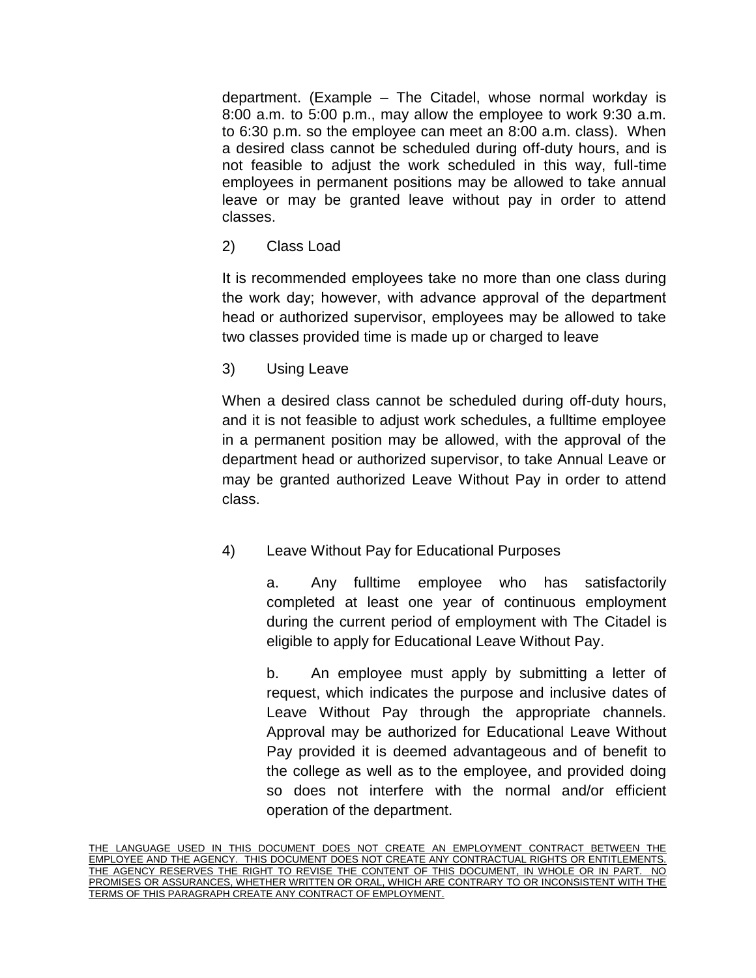department. (Example – The Citadel, whose normal workday is 8:00 a.m. to 5:00 p.m., may allow the employee to work 9:30 a.m. to 6:30 p.m. so the employee can meet an 8:00 a.m. class). When a desired class cannot be scheduled during off-duty hours, and is not feasible to adjust the work scheduled in this way, full-time employees in permanent positions may be allowed to take annual leave or may be granted leave without pay in order to attend classes.

2) Class Load

It is recommended employees take no more than one class during the work day; however, with advance approval of the department head or authorized supervisor, employees may be allowed to take two classes provided time is made up or charged to leave

3) Using Leave

When a desired class cannot be scheduled during off-duty hours, and it is not feasible to adjust work schedules, a fulltime employee in a permanent position may be allowed, with the approval of the department head or authorized supervisor, to take Annual Leave or may be granted authorized Leave Without Pay in order to attend class.

4) Leave Without Pay for Educational Purposes

a. Any fulltime employee who has satisfactorily completed at least one year of continuous employment during the current period of employment with The Citadel is eligible to apply for Educational Leave Without Pay.

b. An employee must apply by submitting a letter of request, which indicates the purpose and inclusive dates of Leave Without Pay through the appropriate channels. Approval may be authorized for Educational Leave Without Pay provided it is deemed advantageous and of benefit to the college as well as to the employee, and provided doing so does not interfere with the normal and/or efficient operation of the department.